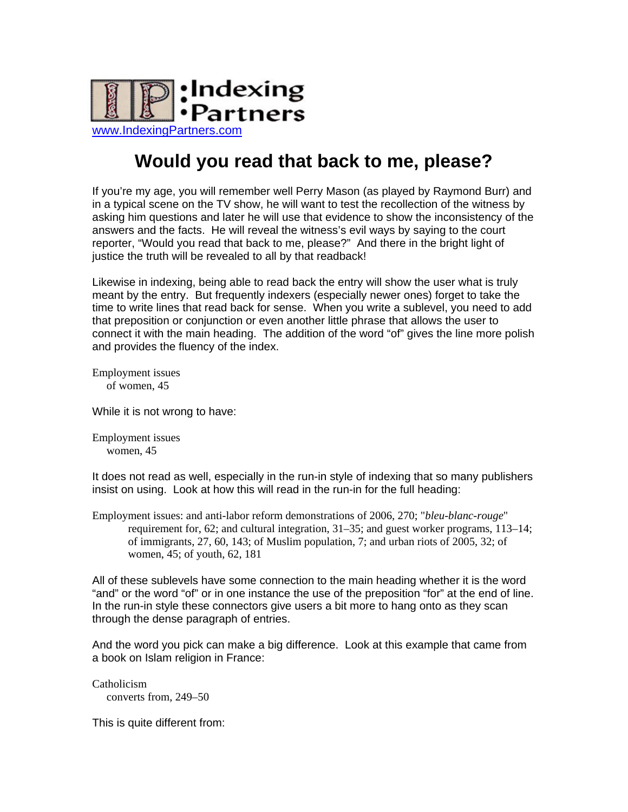

## **Would you read that back to me, please?**

If you're my age, you will remember well Perry Mason (as played by Raymond Burr) and in a typical scene on the TV show, he will want to test the recollection of the witness by asking him questions and later he will use that evidence to show the inconsistency of the answers and the facts. He will reveal the witness's evil ways by saying to the court reporter, "Would you read that back to me, please?" And there in the bright light of justice the truth will be revealed to all by that readback!

Likewise in indexing, being able to read back the entry will show the user what is truly meant by the entry. But frequently indexers (especially newer ones) forget to take the time to write lines that read back for sense. When you write a sublevel, you need to add that preposition or conjunction or even another little phrase that allows the user to connect it with the main heading. The addition of the word "of" gives the line more polish and provides the fluency of the index.

Employment issues of women, 45

While it is not wrong to have:

Employment issues women, 45

It does not read as well, especially in the run-in style of indexing that so many publishers insist on using. Look at how this will read in the run-in for the full heading:

Employment issues: and anti-labor reform demonstrations of 2006, 270; "*bleu-blanc-rouge*" requirement for, 62; and cultural integration, 31–35; and guest worker programs, 113–14; of immigrants, 27, 60, 143; of Muslim population, 7; and urban riots of 2005, 32; of women, 45; of youth, 62, 181

All of these sublevels have some connection to the main heading whether it is the word "and" or the word "of" or in one instance the use of the preposition "for" at the end of line. In the run-in style these connectors give users a bit more to hang onto as they scan through the dense paragraph of entries.

And the word you pick can make a big difference. Look at this example that came from a book on Islam religion in France:

Catholicism converts from, 249–50

This is quite different from: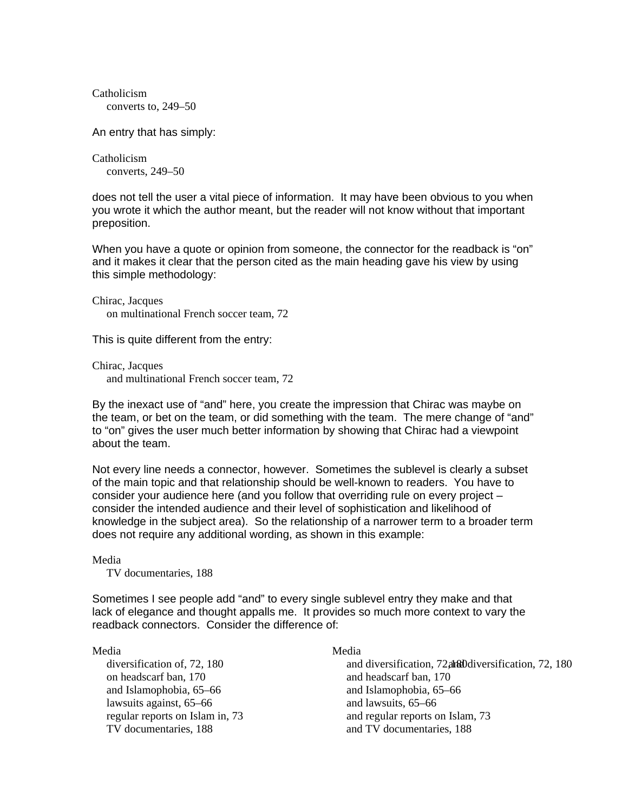Catholicism converts to, 249–50

An entry that has simply:

Catholicism converts, 249–50

does not tell the user a vital piece of information. It may have been obvious to you when you wrote it which the author meant, but the reader will not know without that important preposition.

When you have a quote or opinion from someone, the connector for the readback is "on" and it makes it clear that the person cited as the main heading gave his view by using this simple methodology:

Chirac, Jacques on multinational French soccer team, 72

This is quite different from the entry:

Chirac, Jacques and multinational French soccer team, 72

By the inexact use of "and" here, you create the impression that Chirac was maybe on the team, or bet on the team, or did something with the team. The mere change of "and" to "on" gives the user much better information by showing that Chirac had a viewpoint about the team.

Not every line needs a connector, however. Sometimes the sublevel is clearly a subset of the main topic and that relationship should be well-known to readers. You have to consider your audience here (and you follow that overriding rule on every project – consider the intended audience and their level of sophistication and likelihood of knowledge in the subject area). So the relationship of a narrower term to a broader term does not require any additional wording, as shown in this example:

Media

TV documentaries, 188

Sometimes I see people add "and" to every single sublevel entry they make and that lack of elegance and thought appalls me. It provides so much more context to vary the readback connectors. Consider the difference of:

## Media

on headscarf ban, 170 and Islamophobia, 65–66 lawsuits against, 65–66 regular reports on Islam in, 73 TV documentaries, 188

## Media

diversification of, 72, 180 and diversification, 72, and diversification, 72, 180 and headscarf ban, 170 and Islamophobia, 65–66 and lawsuits, 65–66 and regular reports on Islam, 73 and TV documentaries, 188